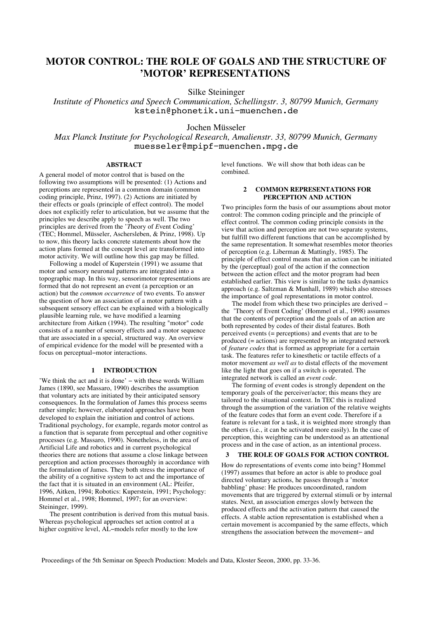# **MOTOR CONTROL: THE ROLE OF GOALS AND THE STRUCTURE OF 'MOTOR' REPRESENTATIONS**

Silke Steininger

*Institute of Phonetics and Speech Communication, Schellingstr. 3, 80799 Munich, Germany* kstein@phonetik.uni−muenchen.de

## Jochen Müsseler

*Max Planck Institute for Psychological Research, Amalienstr. 33, 80799 Munich, Germany* muesseler@mpipf−muenchen.mpg.de

## **ABSTRACT**

A general model of motor control that is based on the following two assumptions will be presented: (1) Actions and perceptions are represented in a common domain (common coding principle, Prinz, 1997). (2) Actions are initiated by their effects or goals (principle of effect control). The model does not explicitly refer to articulation, but we assume that the principles we describe apply to speech as well. The two principles are derived from the '*T*heory of *E*vent *C*oding' (TEC; Hommel, Müsseler, Aschersleben, & Prinz, 1998). Up to now, this theory lacks concrete statements about how the action plans formed at the concept level are transformed into motor activity. We will outline how this gap may be filled.

Following a model of Kuperstein (1991) we assume that motor and sensory neuronal patterns are integrated into a topographic map. In this way, sensorimotor representations are formed that do not represent an event (a perception or an action) but the *common occurrence* of two events. To answer the question of how an association of a motor pattern with a subsequent sensory effect can be explained with a biologically plausible learning rule, we have modified a learning architecture from Aitken (1994). The resulting "motor" code consists of a number of sensory effects and a motor sequence that are associated in a special, structured way. An overview of empirical evidence for the model will be presented with a focus on perceptual−motor interactions.

#### **1 INTRODUCTION**

'We think the act and it is done' − with these words William James (1890, see Massaro, 1990) describes the assumption that voluntary acts are initiated by their anticipated sensory consequences. In the formulation of James this process seems rather simple; however, elaborated approaches have been developed to explain the initiation and control of actions. Traditional psychology, for example, regards motor control as a function that is separate from perceptual and other cognitive processes (e.g. Massaro, 1990). Nonetheless, in the area of Artificial Life and robotics and in current psychological theories there are notions that assume a close linkage between perception and action processes thoroughly in accordance with the formulation of James. They both stress the importance of the ability of a cognitive system to act and the importance of the fact that it is situated in an environment (AL: Pfeifer, 1996, Aitken, 1994; Robotics: Kuperstein, 1991; Psychology: Hommel et al., 1998; Hommel, 1997; for an overview: Steininger, 1999).

The present contribution is derived from this mutual basis. Whereas psychological approaches set action control at a higher cognitive level, AL−models refer mostly to the low

level functions. We will show that both ideas can be combined.

### **2 COMMON REPRESENTATIONS FOR PERCEPTION AND ACTION**

Two principles form the basis of our assumptions about motor control: The common coding principle and the principle of effect control. The common coding principle consists in the view that action and perception are not two separate systems, but fulfill two different functions that can be accomplished by the same representation. It somewhat resembles motor theories of perception (e.g. Liberman & Mattingly, 1985). The principle of effect control means that an action can be initiated by the (perceptual) goal of the action if the connection between the action effect and the motor program had been established earlier. This view is similar to the tasks dynamics approach (e.g. Saltzman & Munhall, 1989) which also stresses the importance of goal representations in motor control.

The model from which these two principles are derived – the 'Theory of Event Coding' (Hommel et al., 1998) assumes that the contents of perception and the goals of an action are both represented by codes of their distal features. Both perceived events (= perceptions) and events that are to be produced (= actions) are represented by an integrated network of *feature codes* that is formed as appropriate for a certain task. The features refer to kinesthetic or tactile effects of a motor movement *as well as* to distal effects of the movement like the light that goes on if a switch is operated. The integrated network is called an *event code*.

The forming of event codes is strongly dependent on the temporary goals of the perceiver/actor; this means they are tailored to the situational context. In TEC this is realized through the assumption of the variation of the relative weights of the feature codes that form an event code. Therefore if a feature is relevant for a task, it is weighted more strongly than the others (i.e., it can be activated more easily). In the case of perception, this weighting can be understood as an attentional process and in the case of action, as an intentional process.

#### **3 THE ROLE OF GOALS FOR ACTION CONTROL**

How do representations of events come into being? Hommel (1997) assumes that before an actor is able to produce goal directed voluntary actions, he passes through a 'motor babbling' phase: He produces uncoordinated, random movements that are triggered by external stimuli or by internal states. Next, an association emerges slowly between the produced effects and the activation pattern that caused the effects. A stable action representation is established when a certain movement is accompanied by the same effects, which strengthens the association between the movement− and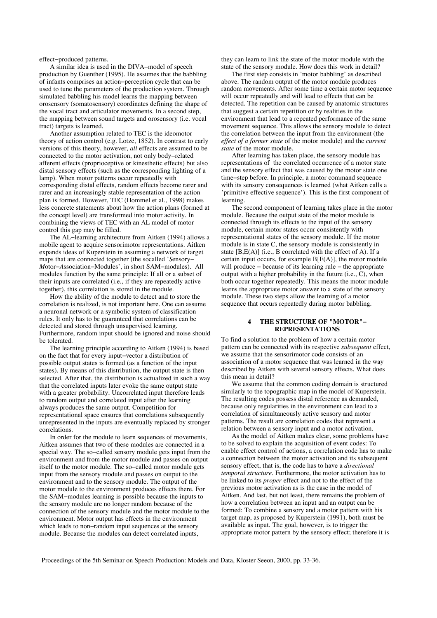effect−produced patterns.

A similar idea is used in the DIVA−model of speech production by Guenther (1995). He assumes that the babbling of infants comprises an action−perception cycle that can be used to tune the parameters of the production system. Through simulated babbling his model learns the mapping between orosensory (somatosensory) coordinates defining the shape of the vocal tract and articulator movements. In a second step, the mapping between sound targets and orosensory (i.e. vocal tract) targets is learned.

Another assumption related to TEC is the ideomotor theory of action control (e.g. Lotze, 1852). In contrast to early versions of this theory, however, *all* effects are assumed to be connected to the motor activation, not only body−related afferent effects (proprioceptive or kinesthetic effects) but also distal sensory effects (such as the corresponding lighting of a lamp). When motor patterns occur repeatedly with corresponding distal effects, random effects become rarer and rarer and an increasingly stable representation of the action plan is formed. However, TEC (Hommel et al., 1998) makes less concrete statements about how the action plans (formed at the concept level) are transformed into motor activity. In combining the views of TEC with an AL model of motor control this gap may be filled.

The AL−learning architecture from Aitken (1994) allows a mobile agent to acquire sensorimotor representations. Aitken expands ideas of Kuperstein in assuming a network of target maps that are connected together (the socalled '*S*ensory− *M*otor−*A*ssociation−Modules', in short SAM−modules). All modules function by the same principle: If all or a subset of their inputs are correlated (i.e., if they are repeatedly active together), this correlation is stored in the module.

How the ability of the module to detect and to store the correlation is realized, is not important here. One can assume a neuronal network or a symbolic system of classification rules. It only has to be guaranteed that correlations can be detected and stored through unsupervised learning. Furthermore, random input should be ignored and noise should be tolerated.

The learning principle according to Aitken (1994) is based on the fact that for every input−vector a distribution of possible output states is formed (as a function of the input states). By means of this distribution, the output state is then selected. After that, the distribution is actualized in such a way that the correlated inputs later evoke the same output state with a greater probability. Uncorrelated input therefore leads to random output and correlated input after the learning always produces the same output. Competition for representational space ensures that correlations subsequently unrepresented in the inputs are eventually replaced by stronger correlations.

In order for the module to learn sequences of movements, Aitken assumes that two of these modules are connected in a special way. The so−called sensory module gets input from the environment and from the motor module and passes on output itself to the motor module. The so−called motor module gets input from the sensory module and passes on output to the environment and to the sensory module. The output of the motor module to the environment produces effects there. For the SAM−modules learning is possible because the inputs to the sensory module are no longer random because of the connection of the sensory module and the motor module to the environment. Motor output has effects in the environment which leads to non−random input sequences at the sensory module. Because the modules can detect correlated inputs,

they can learn to link the state of the motor module with the state of the sensory module. How does this work in detail?

The first step consists in 'motor babbling' as described above. The random output of the motor module produces random movements. After some time a certain motor sequence will occur repeatedly and will lead to effects that can be detected. The repetition can be caused by anatomic structures that suggest a certain repetition or by realities in the environment that lead to a repeated performance of the same movement sequence. This allows the sensory module to detect the correlation between the input from the environment (the *effect of a former state* of the motor module) and the *current state* of the motor module.

After learning has taken place, the sensory module has representations of the correlated occurrence of a motor state and the sensory effect that was caused by the motor state one time−step before. In principle, a motor command sequence with its sensory consequences is learned (what Aitken calls a 'primitive effective sequence'). This is the first component of learning.

The second component of learning takes place in the motor module. Because the output state of the motor module is connected through its effects to the input of the sensory module, certain motor states occur consistently with representational states of the sensory module. If the motor module is in state C, the sensory module is consistently in state  $[B, E(A)]$  (i.e., B correlated with the effect of A). If a certain input occurs, for example  $B[E(A)]$ , the motor module will produce − because of its learning rule − the appropriate output with a higher probability in the future (i.e., C), when both occur together repeatedly. This means the motor module learns the appropriate motor answer to a state of the sensory module. These two steps allow the learning of a motor sequence that occurs repeatedly during motor babbling.

#### **4 THE STRUCTURE OF "MOTOR"− REPRESENTATIONS**

To find a solution to the problem of how a certain motor pattern can be connected with its respective *subsequent* effect, we assume that the sensorimotor code consists of an association of a motor sequence that was learned in the way described by Aitken with several sensory effects. What does this mean in detail?

We assume that the common coding domain is structured similarly to the topographic map in the model of Kuperstein. The resulting codes possess distal reference as demanded, because only regularities in the environment can lead to a correlation of simultaneously active sensory and motor patterns. The result are correlation codes that represent a relation between a sensory input and a motor activation.

 As the model of Aitken makes clear, some problems have to be solved to explain the acquisition of event codes: To enable effect control of actions, a correlation code has to make a connection between the motor activation and its subsequent sensory effect, that is, the code has to have a *directional temporal structure*. Furthermore, the motor activation has to be linked to its *proper* effect and not to the effect of the previous motor activation as is the case in the model of Aitken. And last, but not least, there remains the problem of how a correlation between an input and an output can be formed: To combine a sensory and a motor pattern with his target map, as proposed by Kuperstein  $(1991)$ , both must be available as input. The goal, however, is to trigger the appropriate motor pattern by the sensory effect; therefore it is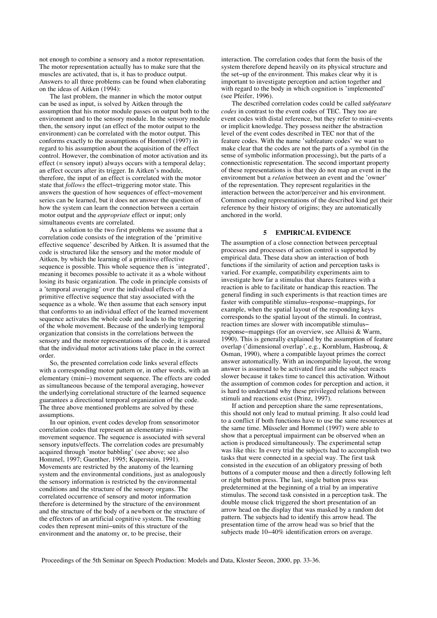not enough to combine a sensory and a motor representation. The motor representation actually has to make sure that the muscles are activated, that is, it has to produce output. Answers to all three problems can be found when elaborating on the ideas of Aitken (1994):

The last problem, the manner in which the motor output can be used as input, is solved by Aitken through the assumption that his motor module passes on output both to the environment and to the sensory module. In the sensory module then, the sensory input (an effect of the motor output to the environment) can be correlated with the motor output. This conforms exactly to the assumptions of Hommel  $(1997)$  in regard to his assumption about the acquisition of the effect control. However, the combination of motor activation and its effect (= sensory input) always occurs with a temporal delay; an effect occurs after its trigger. In Aitken's module, therefore, the input of an effect is correlated with the motor state that *follows* the effect−triggering motor state. This answers the question of how sequences of effect−movement series can be learned, but it does not answer the question of how the system can learn the connection between a certain motor output and the *appropriate* effect or input; only simultaneous events are correlated.

As a solution to the two first problems we assume that a correlation code consists of the integration of the 'primitive effective sequence' described by Aitken. It is assumed that the code is structured like the sensory and the motor module of Aitken, by which the learning of a primitive effective sequence is possible. This whole sequence then is 'integrated', meaning it becomes possible to activate it as a whole without losing its basic organization. The code in principle consists of a 'temporal averaging' over the individual effects of a primitive effective sequence that stay associated with the sequence as a whole. We then assume that each sensory input that conforms to an individual effect of the learned movement sequence activates the whole code and leads to the triggering of the whole movement. Because of the underlying temporal organization that consists in the correlations between the sensory and the motor representations of the code, it is assured that the individual motor activations take place in the correct order.

So, the presented correlation code links several effects with a corresponding motor pattern or, in other words, with an elementary (mini−) movement sequence. The effects are coded as simultaneous because of the temporal averaging, however the underlying correlational structure of the learned sequence guarantees a directional temporal organization of the code. The three above mentioned problems are solved by these assumptions.

In our opinion, event codes develop from sensorimotor correlation codes that represent an elementary mini− movement sequence. The sequence is associated with several sensory inputs/effects. The correlation codes are presumably acquired through 'motor babbling' (see above; see also Hommel, 1997; Guenther, 1995; Kuperstein, 1991). Movements are restricted by the anatomy of the learning system and the environmental conditions, just as analogously the sensory information is restricted by the environmental conditions and the structure of the sensory organs. The correlated occurrence of sensory and motor information therefore is determined by the structure of the environment and the structure of the body of a newborn or the structure of the effectors of an artificial cognitive system. The resulting codes then represent mini−units of this structure of the environment and the anatomy or, to be precise, their

interaction. The correlation codes that form the basis of the system therefore depend heavily on its physical structure and the set−up of the environment. This makes clear why it is important to investigate perception and action together and with regard to the body in which cognition is 'implemented' (see Pfeifer, 1996).

The described correlation codes could be called *subfeature codes* in contrast to the event codes of TEC. They too are event codes with distal reference, but they refer to mini−events or implicit knowledge. They possess neither the abstraction level of the event codes described in TEC nor that of the feature codes. With the name 'subfeature codes' we want to make clear that the codes are not the parts of a symbol (in the sense of symbolic information processing), but the parts of a connectionistic representation. The second important property of these representations is that they do not map an event in the environment but a *relation* between an event and the 'owner' of the representation. They represent regularities in the interaction between the actor/perceiver and his environment. Common coding representations of the described kind get their reference by their history of origins; they are automatically anchored in the world.

#### **5 EMPIRICAL EVIDENCE**

The assumption of a close connection between perceptual processes and processes of action control is supported by empirical data. These data show an interaction of both functions if the similarity of action and perception tasks is varied. For example, compatibility experiments aim to investigate how far a stimulus that shares features with a reaction is able to facilitate or handicap this reaction. The general finding in such experiments is that reaction times are faster with compatible stimulus−response−mappings, for example, when the spatial layout of the responding keys corresponds to the spatial layout of the stimuli. In contrast, reaction times are slower with incompatible stimulus− response−mappings (for an overview, see Alluisi & Warm, 1990). This is generally explained by the assumption of feature overlap ('dimensional overlap', e.g., Kornblum, Hasbrouq, & Osman, 1990), where a compatible layout primes the correct answer automatically. With an incompatible layout, the wrong answer is assumed to be activated first and the subject reacts slower because it takes time to cancel this activation. Without the assumption of common codes for perception and action, it is hard to understand why these privileged relations between stimuli and reactions exist (Prinz, 1997).

If action and perception share the same representations, this should not only lead to mutual priming. It also could lead to a conflict if both functions have to use the same resources at the same time. Müsseler and Hommel (1997) were able to show that a perceptual impairment can be observed when an action is produced simultaneously. The experimental setup was like this: In every trial the subjects had to accomplish two tasks that were connected in a special way. The first task consisted in the execution of an obligatory pressing of both buttons of a computer mouse and then a directly following left or right button press. The last, single button press was predetermined at the beginning of a trial by an imperative stimulus. The second task consisted in a perception task. The double mouse click triggered the short presentation of an arrow head on the display that was masked by a random dot pattern. The subjects had to identify this arrow head. The presentation time of the arrow head was so brief that the subjects made 10−40% identification errors on average.